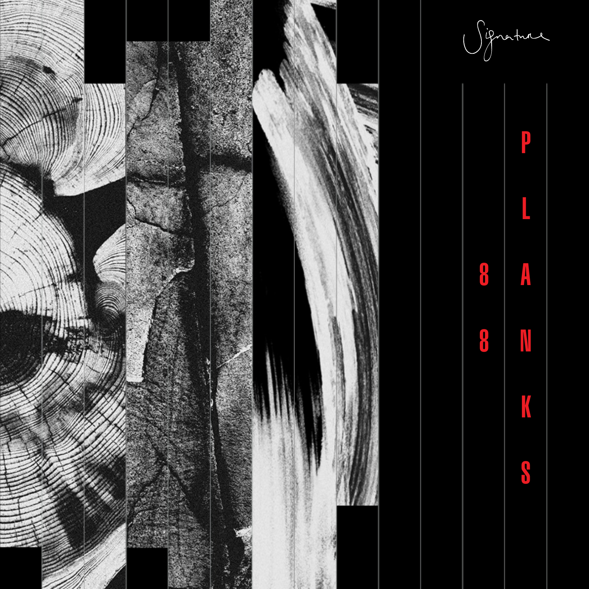

Signature

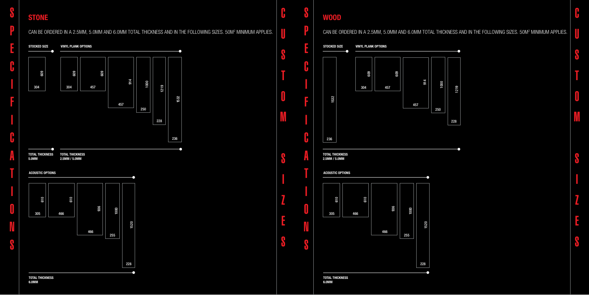## CAN BE ORDERED IN A 2.5MM, 5.0MM AND 6.0MM TOTAL THICKNESS AND IN THE FOLLOWING SIZES. 50M2 MINIMUM APPLIES.







1532

L.

S

P

E

C

**In the company's company's company's company's company's company's company's company's company's company's company's company's company's company's company's company's company's company's company's company's company's comp** 

F

**In the contract of the contract of the contract of the contract of the contract of the contract of the contract of the contract of the contract of the contract of the contract of the contract of the contract of the contra** 

C

A

T

**In the case of the case of the case of the case of the case of the case of the case of the case of the case of the case of the case of the case of the case of the case of the case of the case of the case of the case of th** 

O

N

**S** 

C

U

S

T

O

M

S

I

Z

E

S

U

S

**C**